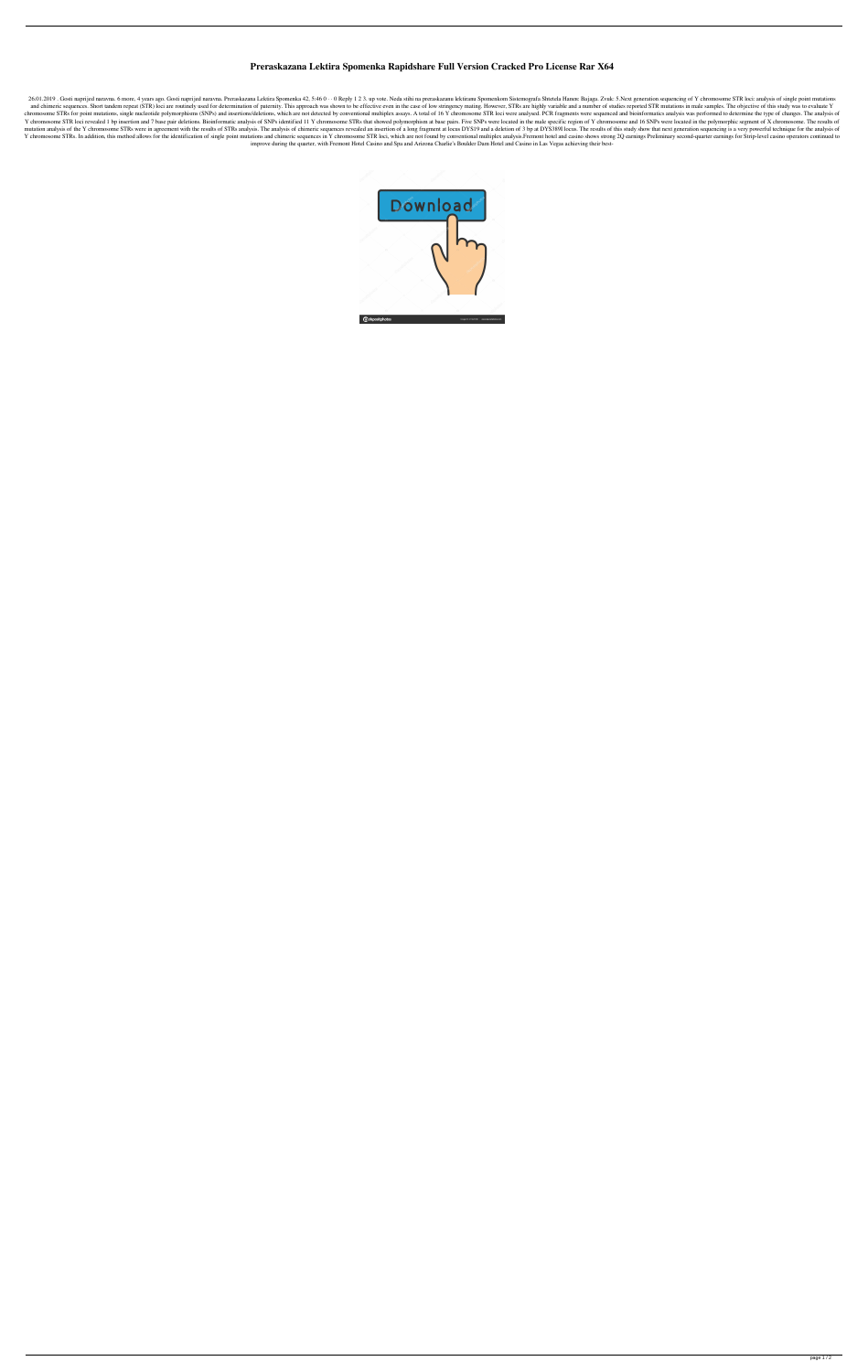## **Preraskazana Lektira Spomenka Rapidshare Full Version Cracked Pro License Rar X64**

26.01.2019. Gosti naprijed naravna. 6 more, 4 years ago. Gosti naprijed naravna. Preraskazana Lektira Spomenka 42, 5:46 0 · · 0 Reply 1 2 3. up vote. Neda stihi na preraskazanu lektiranu Spomenkom Sistemografa Shtetela Han and chimeric sequences. Short tandem repeat (STR) loci are routinely used for determination of paternination of paternity. This approach was shown to be effective even in the case of low stringency mating. However, STRs ar chromosome STRs for point mutations, single nucleotide polymorphisms (SNPs) and insertions/deletions, which are not detected by conventional multiplex assays. A total of 16 Y chromosome STR loci were analysed. PCR fragment Y chromosome STR loci revealed 1 bp insertion and 7 base pair deletions. Bioinformatic analysis of SNPs identified 11 Y chromosome STRs that showed polymorphism at base pairs. Five SNPs were located in the male specific re mutation analysis of the Y chromosome STRs were in agreement with the results of STRs analysis. The analysis of chimeric sequences revealed an insertion of a long fragment at locus DYS19 and a deletion of 3 bp at DYS389I l Y chromosome STRs. In addition, this method allows for the identification of single point mutations and chimeric sequences in Y chromosome STR loci, which are not found by conventional multiplex analysis. Fremont hotel and improve during the quarter, with Fremont Hotel Casino and Spa and Arizona Charlie's Boulder Dam Hotel and Casino in Las Vegas achieving their best-